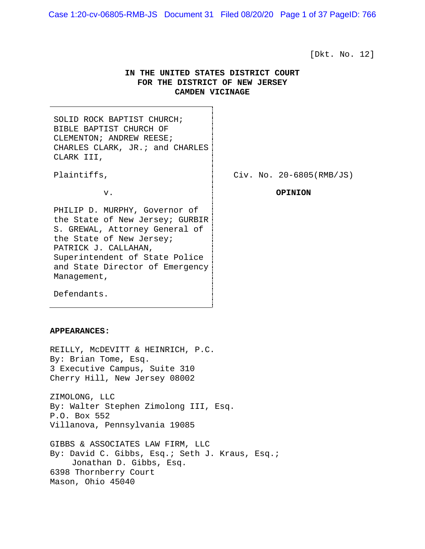Case 1:20-cv-06805-RMB-JS Document 31 Filed 08/20/20 Page 1 of 37 PageID: 766

[Dkt. No. 12]

# **IN THE UNITED STATES DISTRICT COURT FOR THE DISTRICT OF NEW JERSEY CAMDEN VICINAGE**

SOLID ROCK BAPTIST CHURCH; BIBLE BAPTIST CHURCH OF CLEMENTON; ANDREW REESE; CHARLES CLARK, JR.; and CHARLES CLARK III,

Plaintiffs,  $\qquad \qquad$  Civ. No. 20-6805(RMB/JS)

v. **OPINION**

the State of New Jersey; PATRICK J. CALLAHAN, Superintendent of State Police and State Director of Emergency Management,

PHILIP D. MURPHY, Governor of the State of New Jersey; GURBIR S. GREWAL, Attorney General of

Defendants.

#### **APPEARANCES:**

REILLY, McDEVITT & HEINRICH, P.C. By: Brian Tome, Esq. 3 Executive Campus, Suite 310 Cherry Hill, New Jersey 08002

ZIMOLONG, LLC By: Walter Stephen Zimolong III, Esq. P.O. Box 552 Villanova, Pennsylvania 19085

GIBBS & ASSOCIATES LAW FIRM, LLC By: David C. Gibbs, Esq.; Seth J. Kraus, Esq.; Jonathan D. Gibbs, Esq. 6398 Thornberry Court Mason, Ohio 45040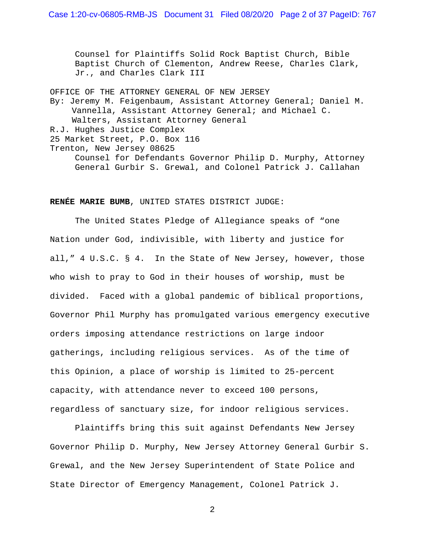Counsel for Plaintiffs Solid Rock Baptist Church, Bible Baptist Church of Clementon, Andrew Reese, Charles Clark, Jr., and Charles Clark III

OFFICE OF THE ATTORNEY GENERAL OF NEW JERSEY By: Jeremy M. Feigenbaum, Assistant Attorney General; Daniel M. Vannella, Assistant Attorney General; and Michael C. Walters, Assistant Attorney General R.J. Hughes Justice Complex 25 Market Street, P.O. Box 116 Trenton, New Jersey 08625 Counsel for Defendants Governor Philip D. Murphy, Attorney General Gurbir S. Grewal, and Colonel Patrick J. Callahan

### **RENÉE MARIE BUMB**, UNITED STATES DISTRICT JUDGE:

The United States Pledge of Allegiance speaks of "one Nation under God, indivisible, with liberty and justice for all," 4 U.S.C. § 4. In the State of New Jersey, however, those who wish to pray to God in their houses of worship, must be divided. Faced with a global pandemic of biblical proportions, Governor Phil Murphy has promulgated various emergency executive orders imposing attendance restrictions on large indoor gatherings, including religious services. As of the time of this Opinion, a place of worship is limited to 25-percent capacity, with attendance never to exceed 100 persons, regardless of sanctuary size, for indoor religious services.

Plaintiffs bring this suit against Defendants New Jersey Governor Philip D. Murphy, New Jersey Attorney General Gurbir S. Grewal, and the New Jersey Superintendent of State Police and State Director of Emergency Management, Colonel Patrick J.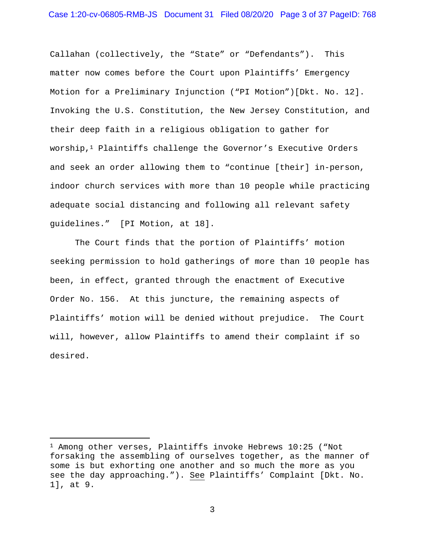Callahan (collectively, the "State" or "Defendants"). This matter now comes before the Court upon Plaintiffs' Emergency Motion for a Preliminary Injunction ("PI Motion")[Dkt. No. 12]. Invoking the U.S. Constitution, the New Jersey Constitution, and their deep faith in a religious obligation to gather for worship,<sup>1</sup> Plaintiffs challenge the Governor's Executive Orders and seek an order allowing them to "continue [their] in-person, indoor church services with more than 10 people while practicing adequate social distancing and following all relevant safety guidelines." [PI Motion, at 18].

The Court finds that the portion of Plaintiffs' motion seeking permission to hold gatherings of more than 10 people has been, in effect, granted through the enactment of Executive Order No. 156. At this juncture, the remaining aspects of Plaintiffs' motion will be denied without prejudice. The Court will, however, allow Plaintiffs to amend their complaint if so desired.

<sup>1</sup> Among other verses, Plaintiffs invoke Hebrews 10:25 ("Not forsaking the assembling of ourselves together, as the manner of some is but exhorting one another and so much the more as you see the day approaching."). See Plaintiffs' Complaint [Dkt. No. 1], at 9.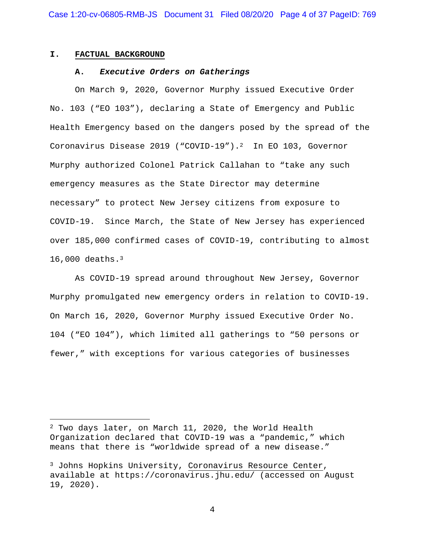#### **I. FACTUAL BACKGROUND**

### **A.** *Executive Orders on Gatherings*

On March 9, 2020, Governor Murphy issued Executive Order No. 103 ("EO 103"), declaring a State of Emergency and Public Health Emergency based on the dangers posed by the spread of the Coronavirus Disease 2019 ("COVID-19").2 In EO 103, Governor Murphy authorized Colonel Patrick Callahan to "take any such emergency measures as the State Director may determine necessary" to protect New Jersey citizens from exposure to COVID-19. Since March, the State of New Jersey has experienced over 185,000 confirmed cases of COVID-19, contributing to almost 16,000 deaths.3

As COVID-19 spread around throughout New Jersey, Governor Murphy promulgated new emergency orders in relation to COVID-19. On March 16, 2020, Governor Murphy issued Executive Order No. 104 ("EO 104"), which limited all gatherings to "50 persons or fewer," with exceptions for various categories of businesses

<sup>2</sup> Two days later, on March 11, 2020, the World Health Organization declared that COVID-19 was a "pandemic," which means that there is "worldwide spread of a new disease."

<sup>&</sup>lt;sup>3</sup> Johns Hopkins University, Coronavirus Resource Center, available at https://coronavirus.jhu.edu/ (accessed on August 19, 2020).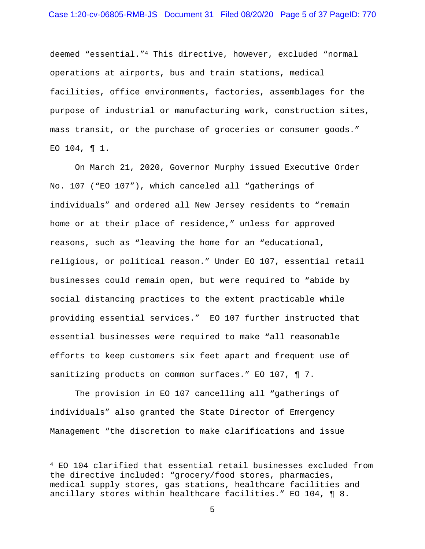deemed "essential."4 This directive, however, excluded "normal operations at airports, bus and train stations, medical facilities, office environments, factories, assemblages for the purpose of industrial or manufacturing work, construction sites, mass transit, or the purchase of groceries or consumer goods." EO 104, ¶ 1.

On March 21, 2020, Governor Murphy issued Executive Order No. 107 ("EO 107"), which canceled all "gatherings of individuals" and ordered all New Jersey residents to "remain home or at their place of residence," unless for approved reasons, such as "leaving the home for an "educational, religious, or political reason." Under EO 107, essential retail businesses could remain open, but were required to "abide by social distancing practices to the extent practicable while providing essential services." EO 107 further instructed that essential businesses were required to make "all reasonable efforts to keep customers six feet apart and frequent use of sanitizing products on common surfaces." EO 107, ¶ 7.

The provision in EO 107 cancelling all "gatherings of individuals" also granted the State Director of Emergency Management "the discretion to make clarifications and issue

<sup>4</sup> EO 104 clarified that essential retail businesses excluded from the directive included: "grocery/food stores, pharmacies, medical supply stores, gas stations, healthcare facilities and ancillary stores within healthcare facilities." EO 104, ¶ 8.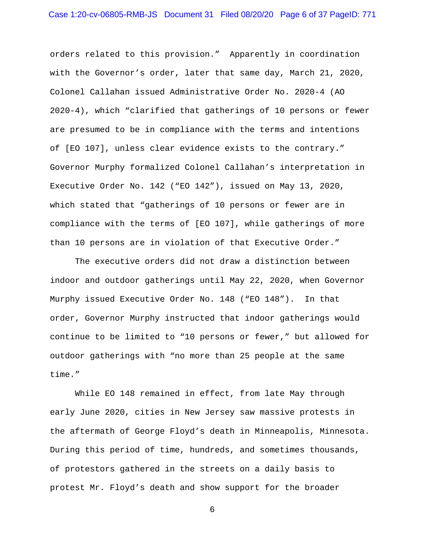orders related to this provision." Apparently in coordination with the Governor's order, later that same day, March 21, 2020, Colonel Callahan issued Administrative Order No. 2020-4 (AO 2020-4), which "clarified that gatherings of 10 persons or fewer are presumed to be in compliance with the terms and intentions of [EO 107], unless clear evidence exists to the contrary." Governor Murphy formalized Colonel Callahan's interpretation in Executive Order No. 142 ("EO 142"), issued on May 13, 2020, which stated that "gatherings of 10 persons or fewer are in compliance with the terms of [EO 107], while gatherings of more than 10 persons are in violation of that Executive Order."

The executive orders did not draw a distinction between indoor and outdoor gatherings until May 22, 2020, when Governor Murphy issued Executive Order No. 148 ("EO 148"). In that order, Governor Murphy instructed that indoor gatherings would continue to be limited to "10 persons or fewer," but allowed for outdoor gatherings with "no more than 25 people at the same time."

While EO 148 remained in effect, from late May through early June 2020, cities in New Jersey saw massive protests in the aftermath of George Floyd's death in Minneapolis, Minnesota. During this period of time, hundreds, and sometimes thousands, of protestors gathered in the streets on a daily basis to protest Mr. Floyd's death and show support for the broader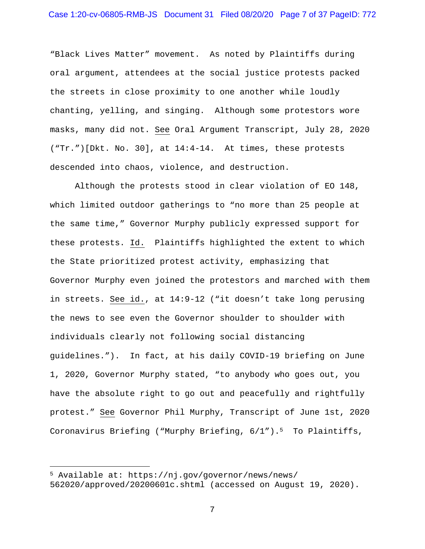"Black Lives Matter" movement. As noted by Plaintiffs during oral argument, attendees at the social justice protests packed the streets in close proximity to one another while loudly chanting, yelling, and singing. Although some protestors wore masks, many did not. See Oral Argument Transcript, July 28, 2020 ("Tr.")[Dkt. No. 30], at 14:4-14. At times, these protests descended into chaos, violence, and destruction.

Although the protests stood in clear violation of EO 148, which limited outdoor gatherings to "no more than 25 people at the same time," Governor Murphy publicly expressed support for these protests. Id. Plaintiffs highlighted the extent to which the State prioritized protest activity, emphasizing that Governor Murphy even joined the protestors and marched with them in streets. See id., at 14:9-12 ("it doesn't take long perusing the news to see even the Governor shoulder to shoulder with individuals clearly not following social distancing guidelines."). In fact, at his daily COVID-19 briefing on June 1, 2020, Governor Murphy stated, "to anybody who goes out, you have the absolute right to go out and peacefully and rightfully protest." See Governor Phil Murphy, Transcript of June 1st, 2020 Coronavirus Briefing ("Murphy Briefing,  $6/1$ ").<sup>5</sup> To Plaintiffs,

<sup>5</sup> Available at: https://nj.gov/governor/news/news/ 562020/approved/20200601c.shtml (accessed on August 19, 2020).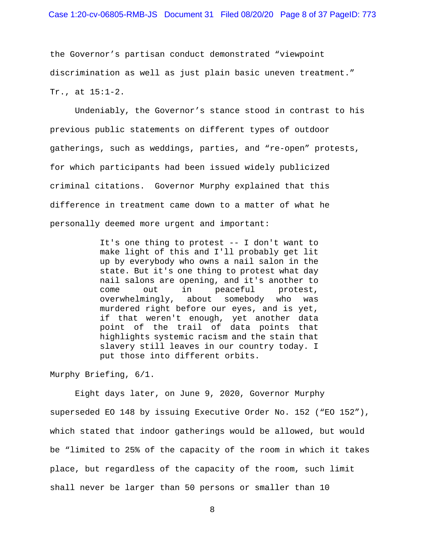the Governor's partisan conduct demonstrated "viewpoint discrimination as well as just plain basic uneven treatment." Tr., at 15:1-2.

Undeniably, the Governor's stance stood in contrast to his previous public statements on different types of outdoor gatherings, such as weddings, parties, and "re-open" protests, for which participants had been issued widely publicized criminal citations. Governor Murphy explained that this difference in treatment came down to a matter of what he personally deemed more urgent and important:

> It's one thing to protest -- I don't want to make light of this and I'll probably get lit up by everybody who owns a nail salon in the state. But it's one thing to protest what day nail salons are opening, and it's another to come out in peaceful protest, overwhelmingly, about somebody who was murdered right before our eyes, and is yet, if that weren't enough, yet another data point of the trail of data points that highlights systemic racism and the stain that slavery still leaves in our country today. I put those into different orbits.

Murphy Briefing, 6/1.

Eight days later, on June 9, 2020, Governor Murphy superseded EO 148 by issuing Executive Order No. 152 ("EO 152"), which stated that indoor gatherings would be allowed, but would be "limited to 25% of the capacity of the room in which it takes place, but regardless of the capacity of the room, such limit shall never be larger than 50 persons or smaller than 10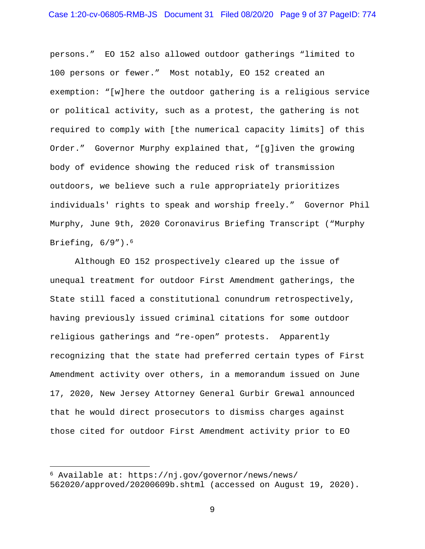persons." EO 152 also allowed outdoor gatherings "limited to 100 persons or fewer." Most notably, EO 152 created an exemption: "[w]here the outdoor gathering is a religious service or political activity, such as a protest, the gathering is not required to comply with [the numerical capacity limits] of this Order." Governor Murphy explained that, "[g]iven the growing body of evidence showing the reduced risk of transmission outdoors, we believe such a rule appropriately prioritizes individuals' rights to speak and worship freely." Governor Phil Murphy, June 9th, 2020 Coronavirus Briefing Transcript ("Murphy Briefing,  $6/9"$ ).<sup>6</sup>

Although EO 152 prospectively cleared up the issue of unequal treatment for outdoor First Amendment gatherings, the State still faced a constitutional conundrum retrospectively, having previously issued criminal citations for some outdoor religious gatherings and "re-open" protests. Apparently recognizing that the state had preferred certain types of First Amendment activity over others, in a memorandum issued on June 17, 2020, New Jersey Attorney General Gurbir Grewal announced that he would direct prosecutors to dismiss charges against those cited for outdoor First Amendment activity prior to EO

<sup>6</sup> Available at: https://nj.gov/governor/news/news/ 562020/approved/20200609b.shtml (accessed on August 19, 2020).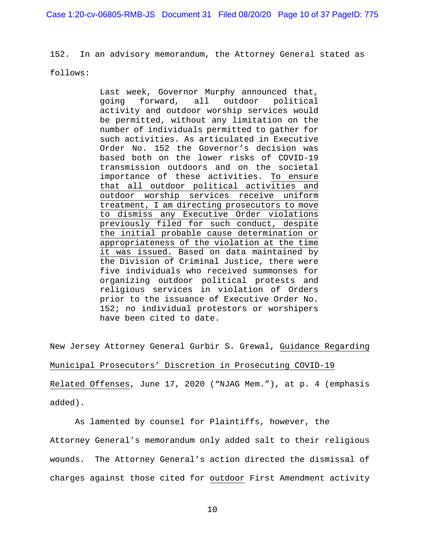Case 1:20-cv-06805-RMB-JS Document 31 Filed 08/20/20 Page 10 of 37 PageID: 775

152. In an advisory memorandum, the Attorney General stated as

follows:

Last week, Governor Murphy announced that, going forward, all outdoor political activity and outdoor worship services would be permitted, without any limitation on the number of individuals permitted to gather for such activities. As articulated in Executive Order No. 152 the Governor's decision was based both on the lower risks of COVID-19 transmission outdoors and on the societal importance of these activities. To ensure that all outdoor political activities and outdoor worship services receive uniform treatment, I am directing prosecutors to move to dismiss any Executive Order violations previously filed for such conduct, despite the initial probable cause determination or appropriateness of the violation at the time it was issued. Based on data maintained by the Division of Criminal Justice, there were five individuals who received summonses for organizing outdoor political protests and religious services in violation of Orders prior to the issuance of Executive Order No. 152; no individual protestors or worshipers have been cited to date.

New Jersey Attorney General Gurbir S. Grewal, Guidance Regarding Municipal Prosecutors' Discretion in Prosecuting COVID-19 Related Offenses, June 17, 2020 ("NJAG Mem."), at p. 4 (emphasis added).

As lamented by counsel for Plaintiffs, however, the Attorney General's memorandum only added salt to their religious wounds. The Attorney General's action directed the dismissal of charges against those cited for outdoor First Amendment activity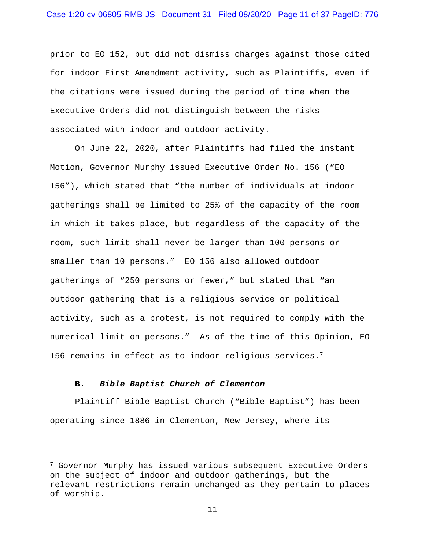prior to EO 152, but did not dismiss charges against those cited for indoor First Amendment activity, such as Plaintiffs, even if the citations were issued during the period of time when the Executive Orders did not distinguish between the risks associated with indoor and outdoor activity.

On June 22, 2020, after Plaintiffs had filed the instant Motion, Governor Murphy issued Executive Order No. 156 ("EO 156"), which stated that "the number of individuals at indoor gatherings shall be limited to 25% of the capacity of the room in which it takes place, but regardless of the capacity of the room, such limit shall never be larger than 100 persons or smaller than 10 persons." EO 156 also allowed outdoor gatherings of "250 persons or fewer," but stated that "an outdoor gathering that is a religious service or political activity, such as a protest, is not required to comply with the numerical limit on persons." As of the time of this Opinion, EO 156 remains in effect as to indoor religious services.7

#### **B.** *Bible Baptist Church of Clementon*

Plaintiff Bible Baptist Church ("Bible Baptist") has been operating since 1886 in Clementon, New Jersey, where its

<sup>7</sup> Governor Murphy has issued various subsequent Executive Orders on the subject of indoor and outdoor gatherings, but the relevant restrictions remain unchanged as they pertain to places of worship.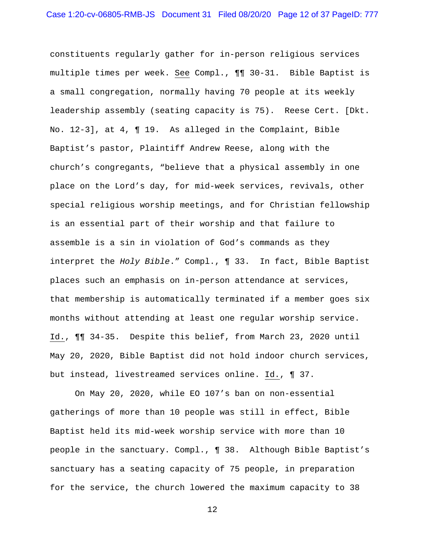constituents regularly gather for in-person religious services multiple times per week. See Compl., ¶¶ 30-31. Bible Baptist is a small congregation, normally having 70 people at its weekly leadership assembly (seating capacity is 75). Reese Cert. [Dkt. No. 12-3], at 4, ¶ 19. As alleged in the Complaint, Bible Baptist's pastor, Plaintiff Andrew Reese, along with the church's congregants, "believe that a physical assembly in one place on the Lord's day, for mid-week services, revivals, other special religious worship meetings, and for Christian fellowship is an essential part of their worship and that failure to assemble is a sin in violation of God's commands as they interpret the *Holy Bible*." Compl., ¶ 33. In fact, Bible Baptist places such an emphasis on in-person attendance at services, that membership is automatically terminated if a member goes six months without attending at least one regular worship service. Id., ¶¶ 34-35. Despite this belief, from March 23, 2020 until May 20, 2020, Bible Baptist did not hold indoor church services, but instead, livestreamed services online. Id., ¶ 37.

On May 20, 2020, while EO 107's ban on non-essential gatherings of more than 10 people was still in effect, Bible Baptist held its mid-week worship service with more than 10 people in the sanctuary. Compl., ¶ 38. Although Bible Baptist's sanctuary has a seating capacity of 75 people, in preparation for the service, the church lowered the maximum capacity to 38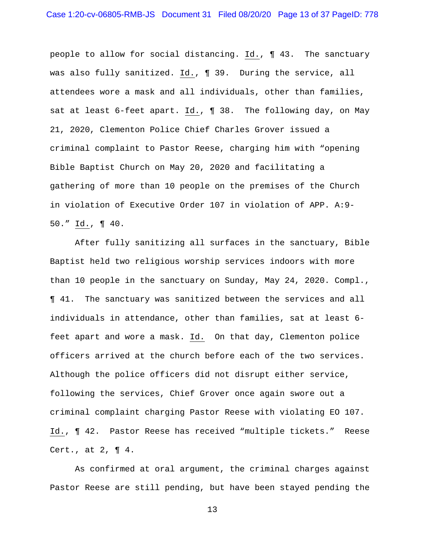people to allow for social distancing. Id., ¶ 43. The sanctuary was also fully sanitized. Id., ¶ 39. During the service, all attendees wore a mask and all individuals, other than families, sat at least 6-feet apart. Id.,  $\P$  38. The following day, on May 21, 2020, Clementon Police Chief Charles Grover issued a criminal complaint to Pastor Reese, charging him with "opening Bible Baptist Church on May 20, 2020 and facilitating a gathering of more than 10 people on the premises of the Church in violation of Executive Order 107 in violation of APP. A:9- 50." Id., ¶ 40.

After fully sanitizing all surfaces in the sanctuary, Bible Baptist held two religious worship services indoors with more than 10 people in the sanctuary on Sunday, May 24, 2020. Compl., ¶ 41. The sanctuary was sanitized between the services and all individuals in attendance, other than families, sat at least 6 feet apart and wore a mask. Id. On that day, Clementon police officers arrived at the church before each of the two services. Although the police officers did not disrupt either service, following the services, Chief Grover once again swore out a criminal complaint charging Pastor Reese with violating EO 107. Id., ¶ 42. Pastor Reese has received "multiple tickets." Reese Cert., at  $2$ ,  $\P$  4.

As confirmed at oral argument, the criminal charges against Pastor Reese are still pending, but have been stayed pending the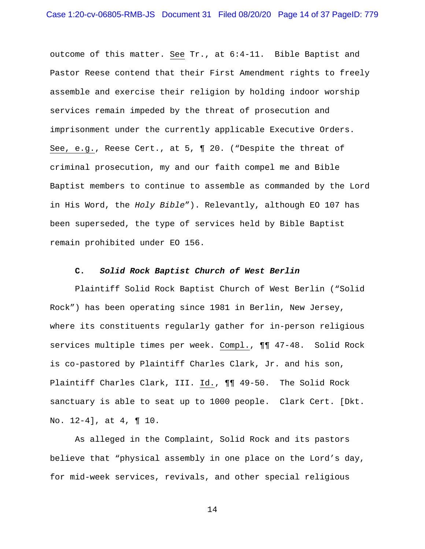outcome of this matter. See Tr., at 6:4-11. Bible Baptist and Pastor Reese contend that their First Amendment rights to freely assemble and exercise their religion by holding indoor worship services remain impeded by the threat of prosecution and imprisonment under the currently applicable Executive Orders. See, e.g., Reese Cert., at 5, ¶ 20. ("Despite the threat of criminal prosecution, my and our faith compel me and Bible Baptist members to continue to assemble as commanded by the Lord in His Word, the *Holy Bible*"). Relevantly, although EO 107 has been superseded, the type of services held by Bible Baptist remain prohibited under EO 156.

# **C.** *Solid Rock Baptist Church of West Berlin*

Plaintiff Solid Rock Baptist Church of West Berlin ("Solid Rock") has been operating since 1981 in Berlin, New Jersey, where its constituents regularly gather for in-person religious services multiple times per week. Compl., ¶¶ 47-48. Solid Rock is co-pastored by Plaintiff Charles Clark, Jr. and his son, Plaintiff Charles Clark, III. Id., ¶¶ 49-50. The Solid Rock sanctuary is able to seat up to 1000 people. Clark Cert. [Dkt. No. 12-4], at 4, ¶ 10.

As alleged in the Complaint, Solid Rock and its pastors believe that "physical assembly in one place on the Lord's day, for mid-week services, revivals, and other special religious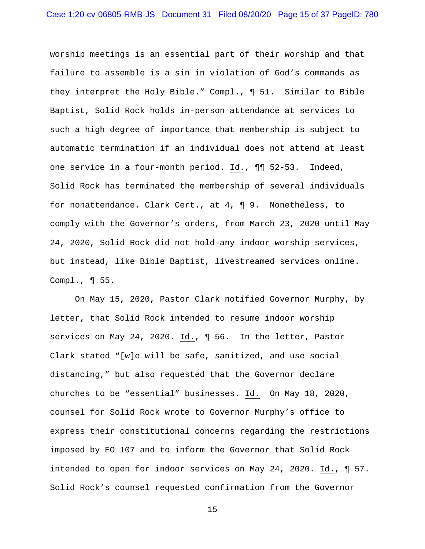worship meetings is an essential part of their worship and that failure to assemble is a sin in violation of God's commands as they interpret the Holy Bible." Compl., ¶ 51. Similar to Bible Baptist, Solid Rock holds in-person attendance at services to such a high degree of importance that membership is subject to automatic termination if an individual does not attend at least one service in a four-month period. Id., ¶¶ 52-53. Indeed, Solid Rock has terminated the membership of several individuals for nonattendance. Clark Cert., at 4, ¶ 9. Nonetheless, to comply with the Governor's orders, from March 23, 2020 until May 24, 2020, Solid Rock did not hold any indoor worship services, but instead, like Bible Baptist, livestreamed services online. Compl., ¶ 55.

On May 15, 2020, Pastor Clark notified Governor Murphy, by letter, that Solid Rock intended to resume indoor worship services on May 24, 2020. Id., ¶ 56. In the letter, Pastor Clark stated "[w]e will be safe, sanitized, and use social distancing," but also requested that the Governor declare churches to be "essential" businesses. Id. On May 18, 2020, counsel for Solid Rock wrote to Governor Murphy's office to express their constitutional concerns regarding the restrictions imposed by EO 107 and to inform the Governor that Solid Rock intended to open for indoor services on May 24, 2020. Id., ¶ 57. Solid Rock's counsel requested confirmation from the Governor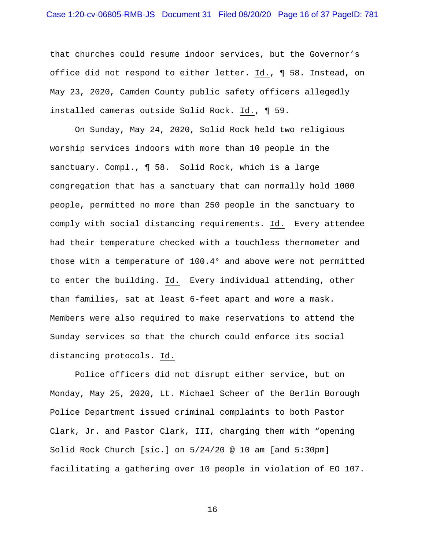that churches could resume indoor services, but the Governor's office did not respond to either letter. Id., ¶ 58. Instead, on May 23, 2020, Camden County public safety officers allegedly installed cameras outside Solid Rock. Id., ¶ 59.

On Sunday, May 24, 2020, Solid Rock held two religious worship services indoors with more than 10 people in the sanctuary. Compl., ¶ 58. Solid Rock, which is a large congregation that has a sanctuary that can normally hold 1000 people, permitted no more than 250 people in the sanctuary to comply with social distancing requirements. Id. Every attendee had their temperature checked with a touchless thermometer and those with a temperature of 100.4° and above were not permitted to enter the building. Id. Every individual attending, other than families, sat at least 6-feet apart and wore a mask. Members were also required to make reservations to attend the Sunday services so that the church could enforce its social distancing protocols. Id.

Police officers did not disrupt either service, but on Monday, May 25, 2020, Lt. Michael Scheer of the Berlin Borough Police Department issued criminal complaints to both Pastor Clark, Jr. and Pastor Clark, III, charging them with "opening Solid Rock Church [sic.] on 5/24/20 @ 10 am [and 5:30pm] facilitating a gathering over 10 people in violation of EO 107.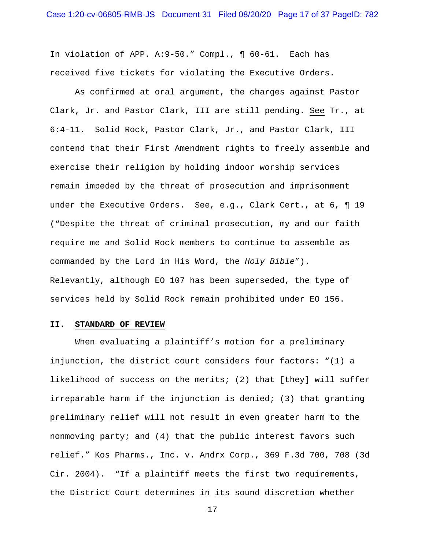In violation of APP. A:9-50." Compl., ¶ 60-61. Each has received five tickets for violating the Executive Orders.

As confirmed at oral argument, the charges against Pastor Clark, Jr. and Pastor Clark, III are still pending. See Tr., at 6:4-11. Solid Rock, Pastor Clark, Jr., and Pastor Clark, III contend that their First Amendment rights to freely assemble and exercise their religion by holding indoor worship services remain impeded by the threat of prosecution and imprisonment under the Executive Orders. See, e.g., Clark Cert., at 6, ¶ 19 ("Despite the threat of criminal prosecution, my and our faith require me and Solid Rock members to continue to assemble as commanded by the Lord in His Word, the *Holy Bible*"). Relevantly, although EO 107 has been superseded, the type of services held by Solid Rock remain prohibited under EO 156.

### **II. STANDARD OF REVIEW**

When evaluating a plaintiff's motion for a preliminary injunction, the district court considers four factors: "(1) a likelihood of success on the merits; (2) that [they] will suffer irreparable harm if the injunction is denied; (3) that granting preliminary relief will not result in even greater harm to the nonmoving party; and (4) that the public interest favors such relief." Kos Pharms., Inc. v. Andrx Corp., 369 F.3d 700, 708 (3d Cir. 2004). "If a plaintiff meets the first two requirements, the District Court determines in its sound discretion whether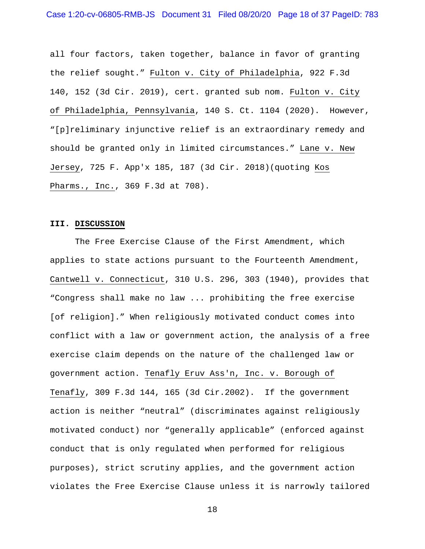all four factors, taken together, balance in favor of granting the relief sought." Fulton v. City of Philadelphia, 922 F.3d 140, 152 (3d Cir. 2019), cert. granted sub nom. Fulton v. City of Philadelphia, Pennsylvania, 140 S. Ct. 1104 (2020). However, "[p]reliminary injunctive relief is an extraordinary remedy and should be granted only in limited circumstances." Lane v. New Jersey, 725 F. App'x 185, 187 (3d Cir. 2018)(quoting Kos Pharms., Inc., 369 F.3d at 708).

#### **III. DISCUSSION**

The Free Exercise Clause of the First Amendment, which applies to state actions pursuant to the Fourteenth Amendment, Cantwell v. Connecticut, 310 U.S. 296, 303 (1940), provides that "Congress shall make no law ... prohibiting the free exercise [of religion]." When religiously motivated conduct comes into conflict with a law or government action, the analysis of a free exercise claim depends on the nature of the challenged law or government action. Tenafly Eruv Ass'n, Inc. v. Borough of Tenafly, 309 F.3d 144, 165 (3d Cir.2002). If the government action is neither "neutral" (discriminates against religiously motivated conduct) nor "generally applicable" (enforced against conduct that is only regulated when performed for religious purposes), strict scrutiny applies, and the government action violates the Free Exercise Clause unless it is narrowly tailored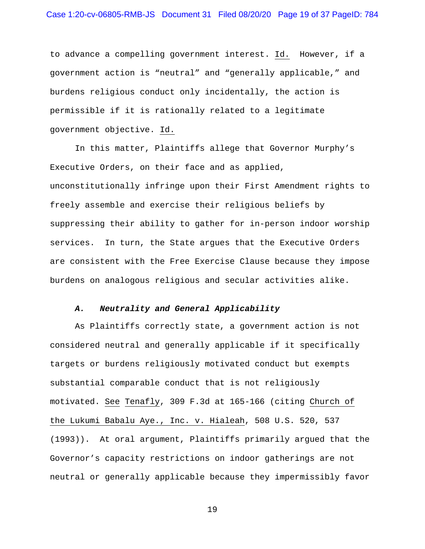to advance a compelling government interest. Id. However, if a government action is "neutral" and "generally applicable," and burdens religious conduct only incidentally, the action is permissible if it is rationally related to a legitimate government objective. Id.

In this matter, Plaintiffs allege that Governor Murphy's Executive Orders, on their face and as applied, unconstitutionally infringe upon their First Amendment rights to freely assemble and exercise their religious beliefs by suppressing their ability to gather for in-person indoor worship services. In turn, the State argues that the Executive Orders are consistent with the Free Exercise Clause because they impose burdens on analogous religious and secular activities alike.

## *A. Neutrality and General Applicability*

As Plaintiffs correctly state, a government action is not considered neutral and generally applicable if it specifically targets or burdens religiously motivated conduct but exempts substantial comparable conduct that is not religiously motivated. See Tenafly, 309 F.3d at 165-166 (citing Church of the Lukumi Babalu Aye., Inc. v. Hialeah, 508 U.S. 520, 537 (1993)). At oral argument, Plaintiffs primarily argued that the Governor's capacity restrictions on indoor gatherings are not neutral or generally applicable because they impermissibly favor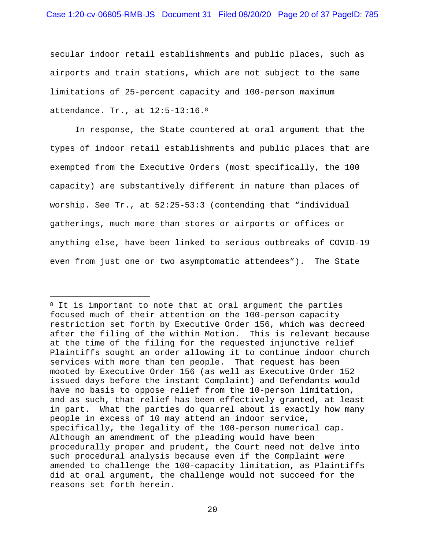secular indoor retail establishments and public places, such as airports and train stations, which are not subject to the same limitations of 25-percent capacity and 100-person maximum attendance. Tr., at 12:5-13:16.8

In response, the State countered at oral argument that the types of indoor retail establishments and public places that are exempted from the Executive Orders (most specifically, the 100 capacity) are substantively different in nature than places of worship. See Tr., at 52:25-53:3 (contending that "individual gatherings, much more than stores or airports or offices or anything else, have been linked to serious outbreaks of COVID-19 even from just one or two asymptomatic attendees"). The State

 $8$  It is important to note that at oral argument the parties focused much of their attention on the 100-person capacity restriction set forth by Executive Order 156, which was decreed after the filing of the within Motion. This is relevant because at the time of the filing for the requested injunctive relief Plaintiffs sought an order allowing it to continue indoor church services with more than ten people. That request has been mooted by Executive Order 156 (as well as Executive Order 152 issued days before the instant Complaint) and Defendants would have no basis to oppose relief from the 10-person limitation, and as such, that relief has been effectively granted, at least in part. What the parties do quarrel about is exactly how many people in excess of 10 may attend an indoor service, specifically, the legality of the 100-person numerical cap. Although an amendment of the pleading would have been procedurally proper and prudent, the Court need not delve into such procedural analysis because even if the Complaint were amended to challenge the 100-capacity limitation, as Plaintiffs did at oral argument, the challenge would not succeed for the reasons set forth herein.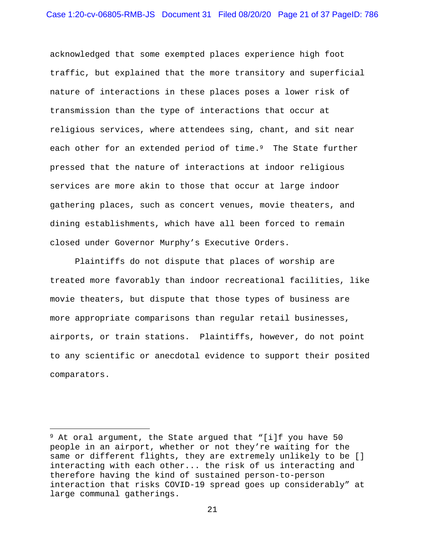acknowledged that some exempted places experience high foot traffic, but explained that the more transitory and superficial nature of interactions in these places poses a lower risk of transmission than the type of interactions that occur at religious services, where attendees sing, chant, and sit near each other for an extended period of time.<sup>9</sup> The State further pressed that the nature of interactions at indoor religious services are more akin to those that occur at large indoor gathering places, such as concert venues, movie theaters, and dining establishments, which have all been forced to remain closed under Governor Murphy's Executive Orders.

Plaintiffs do not dispute that places of worship are treated more favorably than indoor recreational facilities, like movie theaters, but dispute that those types of business are more appropriate comparisons than regular retail businesses, airports, or train stations. Plaintiffs, however, do not point to any scientific or anecdotal evidence to support their posited comparators.

 $9$  At oral argument, the State argued that "[i]f you have 50 people in an airport, whether or not they're waiting for the same or different flights, they are extremely unlikely to be [] interacting with each other... the risk of us interacting and therefore having the kind of sustained person-to-person interaction that risks COVID-19 spread goes up considerably" at large communal gatherings.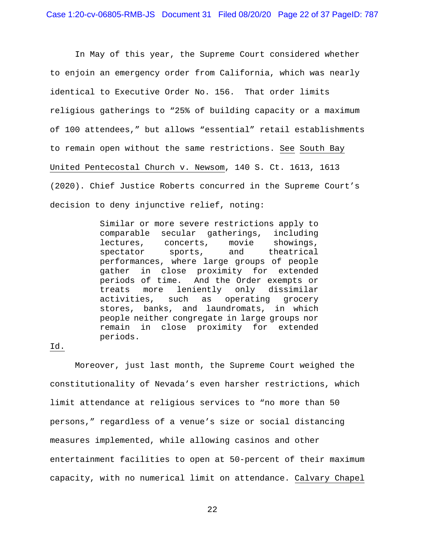In May of this year, the Supreme Court considered whether to enjoin an emergency order from California, which was nearly identical to Executive Order No. 156. That order limits religious gatherings to "25% of building capacity or a maximum of 100 attendees," but allows "essential" retail establishments to remain open without the same restrictions. See South Bay United Pentecostal Church v. Newsom, 140 S. Ct. 1613, 1613 (2020). Chief Justice Roberts concurred in the Supreme Court's decision to deny injunctive relief, noting:

> Similar or more severe restrictions apply to comparable secular gatherings, including lectures, concerts, movie showings, spectator sports, and theatrical performances, where large groups of people gather in close proximity for extended periods of time. And the Order exempts or treats more leniently only dissimilar activities, such as operating grocery stores, banks, and laundromats, in which people neither congregate in large groups nor remain in close proximity for extended periods.

# Id.

Moreover, just last month, the Supreme Court weighed the constitutionality of Nevada's even harsher restrictions, which limit attendance at religious services to "no more than 50 persons," regardless of a venue's size or social distancing measures implemented, while allowing casinos and other entertainment facilities to open at 50-percent of their maximum capacity, with no numerical limit on attendance. Calvary Chapel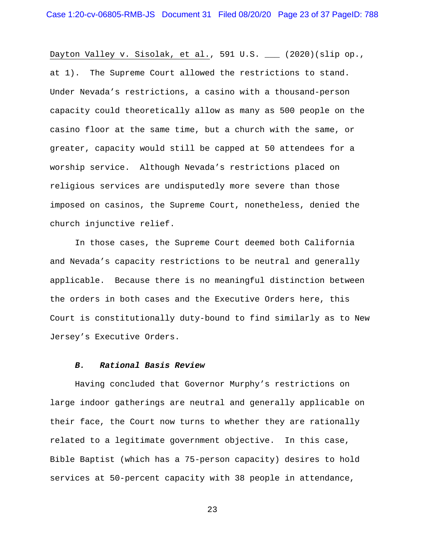Dayton Valley v. Sisolak, et al., 591 U.S. \_\_ (2020)(slip op., at 1). The Supreme Court allowed the restrictions to stand. Under Nevada's restrictions, a casino with a thousand-person capacity could theoretically allow as many as 500 people on the casino floor at the same time, but a church with the same, or greater, capacity would still be capped at 50 attendees for a worship service. Although Nevada's restrictions placed on religious services are undisputedly more severe than those imposed on casinos, the Supreme Court, nonetheless, denied the church injunctive relief.

In those cases, the Supreme Court deemed both California and Nevada's capacity restrictions to be neutral and generally applicable. Because there is no meaningful distinction between the orders in both cases and the Executive Orders here, this Court is constitutionally duty-bound to find similarly as to New Jersey's Executive Orders.

### *B. Rational Basis Review*

Having concluded that Governor Murphy's restrictions on large indoor gatherings are neutral and generally applicable on their face, the Court now turns to whether they are rationally related to a legitimate government objective. In this case, Bible Baptist (which has a 75-person capacity) desires to hold services at 50-percent capacity with 38 people in attendance,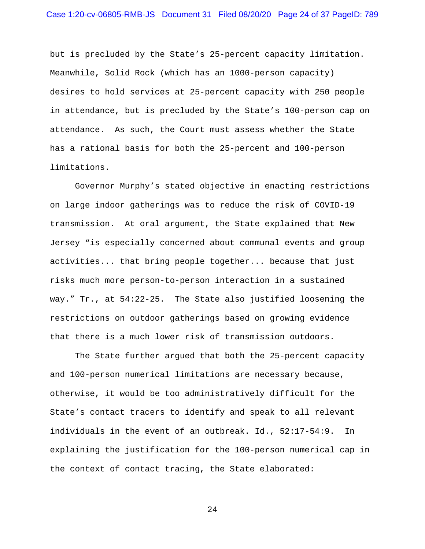but is precluded by the State's 25-percent capacity limitation. Meanwhile, Solid Rock (which has an 1000-person capacity) desires to hold services at 25-percent capacity with 250 people in attendance, but is precluded by the State's 100-person cap on attendance. As such, the Court must assess whether the State has a rational basis for both the 25-percent and 100-person limitations.

Governor Murphy's stated objective in enacting restrictions on large indoor gatherings was to reduce the risk of COVID-19 transmission. At oral argument, the State explained that New Jersey "is especially concerned about communal events and group activities... that bring people together... because that just risks much more person-to-person interaction in a sustained way." Tr., at 54:22-25. The State also justified loosening the restrictions on outdoor gatherings based on growing evidence that there is a much lower risk of transmission outdoors.

The State further argued that both the 25-percent capacity and 100-person numerical limitations are necessary because, otherwise, it would be too administratively difficult for the State's contact tracers to identify and speak to all relevant individuals in the event of an outbreak. Id., 52:17-54:9. In explaining the justification for the 100-person numerical cap in the context of contact tracing, the State elaborated: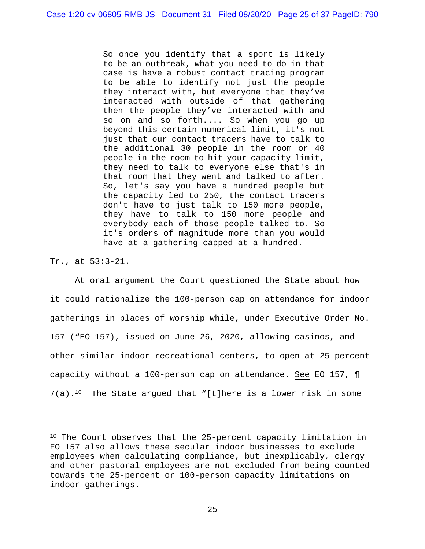So once you identify that a sport is likely to be an outbreak, what you need to do in that case is have a robust contact tracing program to be able to identify not just the people they interact with, but everyone that they've interacted with outside of that gathering then the people they've interacted with and so on and so forth.... So when you go up beyond this certain numerical limit, it's not just that our contact tracers have to talk to the additional 30 people in the room or 40 people in the room to hit your capacity limit, they need to talk to everyone else that's in that room that they went and talked to after. So, let's say you have a hundred people but the capacity led to 250, the contact tracers don't have to just talk to 150 more people, they have to talk to 150 more people and everybody each of those people talked to. So it's orders of magnitude more than you would have at a gathering capped at a hundred.

Tr., at 53:3-21.

At oral argument the Court questioned the State about how it could rationalize the 100-person cap on attendance for indoor gatherings in places of worship while, under Executive Order No. 157 ("EO 157), issued on June 26, 2020, allowing casinos, and other similar indoor recreational centers, to open at 25-percent capacity without a 100-person cap on attendance. See EO 157, ¶  $7(a)$ .<sup>10</sup> The State argued that "[t]here is a lower risk in some

<sup>10</sup> The Court observes that the 25-percent capacity limitation in EO 157 also allows these secular indoor businesses to exclude employees when calculating compliance, but inexplicably, clergy and other pastoral employees are not excluded from being counted towards the 25-percent or 100-person capacity limitations on indoor gatherings.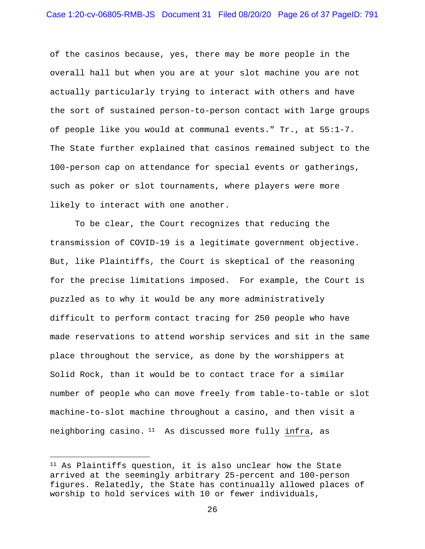of the casinos because, yes, there may be more people in the overall hall but when you are at your slot machine you are not actually particularly trying to interact with others and have the sort of sustained person-to-person contact with large groups of people like you would at communal events." Tr., at 55:1-7. The State further explained that casinos remained subject to the 100-person cap on attendance for special events or gatherings, such as poker or slot tournaments, where players were more likely to interact with one another.

To be clear, the Court recognizes that reducing the transmission of COVID-19 is a legitimate government objective. But, like Plaintiffs, the Court is skeptical of the reasoning for the precise limitations imposed. For example, the Court is puzzled as to why it would be any more administratively difficult to perform contact tracing for 250 people who have made reservations to attend worship services and sit in the same place throughout the service, as done by the worshippers at Solid Rock, than it would be to contact trace for a similar number of people who can move freely from table-to-table or slot machine-to-slot machine throughout a casino, and then visit a neighboring casino. <sup>11</sup> As discussed more fully infra, as

<sup>11</sup> As Plaintiffs question, it is also unclear how the State arrived at the seemingly arbitrary 25-percent and 100-person figures. Relatedly, the State has continually allowed places of worship to hold services with 10 or fewer individuals,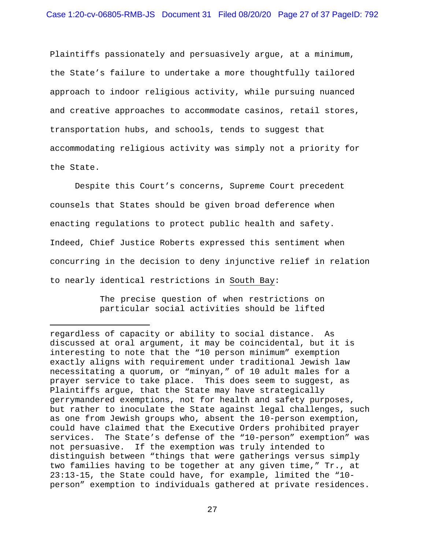Plaintiffs passionately and persuasively argue, at a minimum, the State's failure to undertake a more thoughtfully tailored approach to indoor religious activity, while pursuing nuanced and creative approaches to accommodate casinos, retail stores, transportation hubs, and schools, tends to suggest that accommodating religious activity was simply not a priority for the State.

Despite this Court's concerns, Supreme Court precedent counsels that States should be given broad deference when enacting regulations to protect public health and safety. Indeed, Chief Justice Roberts expressed this sentiment when concurring in the decision to deny injunctive relief in relation to nearly identical restrictions in South Bay:

> The precise question of when restrictions on particular social activities should be lifted

regardless of capacity or ability to social distance. As discussed at oral argument, it may be coincidental, but it is interesting to note that the "10 person minimum" exemption exactly aligns with requirement under traditional Jewish law necessitating a quorum, or "minyan," of 10 adult males for a prayer service to take place. This does seem to suggest, as Plaintiffs argue, that the State may have strategically gerrymandered exemptions, not for health and safety purposes, but rather to inoculate the State against legal challenges, such as one from Jewish groups who, absent the 10-person exemption, could have claimed that the Executive Orders prohibited prayer services. The State's defense of the "10-person" exemption" was not persuasive. If the exemption was truly intended to distinguish between "things that were gatherings versus simply two families having to be together at any given time," Tr., at 23:13-15, the State could have, for example, limited the "10 person" exemption to individuals gathered at private residences.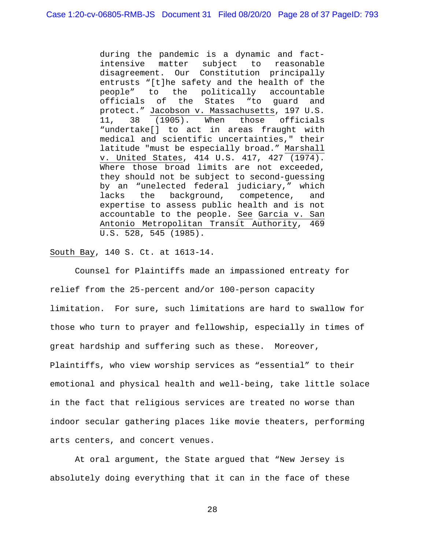during the pandemic is a dynamic and factintensive matter subject to reasonable disagreement. Our Constitution principally entrusts "[t]he safety and the health of the people" to the politically accountable officials of the States "to guard and protect." Jacobson v. Massachusetts, 197 U.S. 11, 38 (1905). When those officials "undertake[] to act in areas fraught with medical and scientific uncertainties," their latitude "must be especially broad." Marshall v. United States, 414 U.S. 417, 427 (1974). Where those broad limits are not exceeded, they should not be subject to second-guessing by an "unelected federal judiciary," which lacks the background, competence, and expertise to assess public health and is not accountable to the people. See Garcia v. San Antonio Metropolitan Transit Authority, 469 U.S. 528, 545 (1985).

South Bay, 140 S. Ct. at 1613-14.

Counsel for Plaintiffs made an impassioned entreaty for relief from the 25-percent and/or 100-person capacity limitation. For sure, such limitations are hard to swallow for those who turn to prayer and fellowship, especially in times of great hardship and suffering such as these. Moreover, Plaintiffs, who view worship services as "essential" to their emotional and physical health and well-being, take little solace in the fact that religious services are treated no worse than indoor secular gathering places like movie theaters, performing arts centers, and concert venues.

At oral argument, the State argued that "New Jersey is absolutely doing everything that it can in the face of these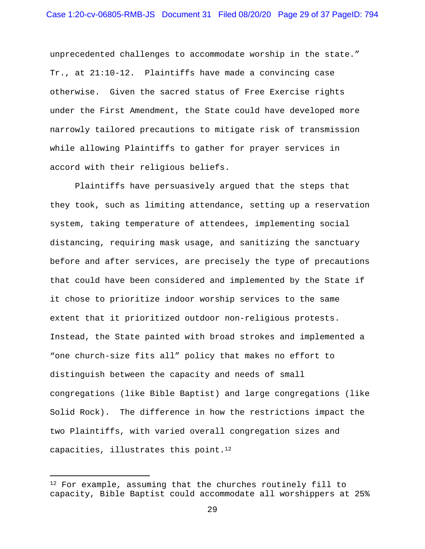unprecedented challenges to accommodate worship in the state." Tr., at 21:10-12. Plaintiffs have made a convincing case otherwise. Given the sacred status of Free Exercise rights under the First Amendment, the State could have developed more narrowly tailored precautions to mitigate risk of transmission while allowing Plaintiffs to gather for prayer services in accord with their religious beliefs.

Plaintiffs have persuasively argued that the steps that they took, such as limiting attendance, setting up a reservation system, taking temperature of attendees, implementing social distancing, requiring mask usage, and sanitizing the sanctuary before and after services, are precisely the type of precautions that could have been considered and implemented by the State if it chose to prioritize indoor worship services to the same extent that it prioritized outdoor non-religious protests. Instead, the State painted with broad strokes and implemented a "one church-size fits all" policy that makes no effort to distinguish between the capacity and needs of small congregations (like Bible Baptist) and large congregations (like Solid Rock). The difference in how the restrictions impact the two Plaintiffs, with varied overall congregation sizes and capacities, illustrates this point. $12$ 

<sup>&</sup>lt;sup>12</sup> For example, assuming that the churches routinely fill to capacity, Bible Baptist could accommodate all worshippers at 25%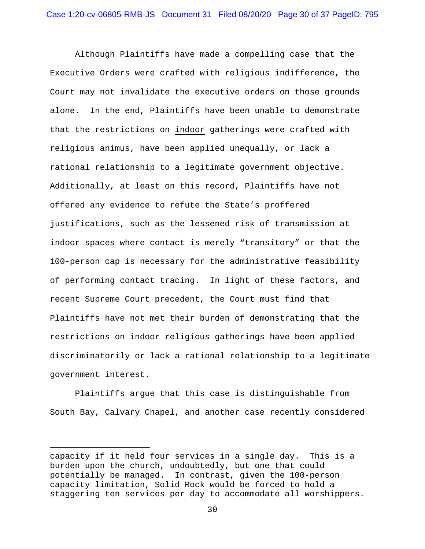Although Plaintiffs have made a compelling case that the Executive Orders were crafted with religious indifference, the Court may not invalidate the executive orders on those grounds alone. In the end, Plaintiffs have been unable to demonstrate that the restrictions on indoor gatherings were crafted with religious animus, have been applied unequally, or lack a rational relationship to a legitimate government objective. Additionally, at least on this record, Plaintiffs have not offered any evidence to refute the State's proffered justifications, such as the lessened risk of transmission at indoor spaces where contact is merely "transitory" or that the 100-person cap is necessary for the administrative feasibility of performing contact tracing. In light of these factors, and recent Supreme Court precedent, the Court must find that Plaintiffs have not met their burden of demonstrating that the restrictions on indoor religious gatherings have been applied discriminatorily or lack a rational relationship to a legitimate government interest.

Plaintiffs argue that this case is distinguishable from South Bay, Calvary Chapel, and another case recently considered

capacity if it held four services in a single day. This is a burden upon the church, undoubtedly, but one that could potentially be managed. In contrast, given the 100-person capacity limitation, Solid Rock would be forced to hold a staggering ten services per day to accommodate all worshippers.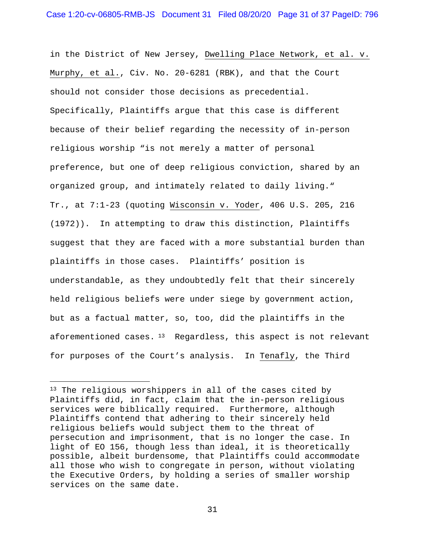in the District of New Jersey, Dwelling Place Network, et al. v. Murphy, et al., Civ. No. 20-6281 (RBK), and that the Court should not consider those decisions as precedential. Specifically, Plaintiffs argue that this case is different because of their belief regarding the necessity of in-person religious worship "is not merely a matter of personal preference, but one of deep religious conviction, shared by an organized group, and intimately related to daily living." Tr., at 7:1-23 (quoting Wisconsin v. Yoder, 406 U.S. 205, 216 (1972)). In attempting to draw this distinction, Plaintiffs suggest that they are faced with a more substantial burden than plaintiffs in those cases. Plaintiffs' position is understandable, as they undoubtedly felt that their sincerely held religious beliefs were under siege by government action, but as a factual matter, so, too, did the plaintiffs in the aforementioned cases.  $13$  Regardless, this aspect is not relevant for purposes of the Court's analysis. In Tenafly, the Third

<sup>&</sup>lt;sup>13</sup> The religious worshippers in all of the cases cited by Plaintiffs did, in fact, claim that the in-person religious services were biblically required. Furthermore, although Plaintiffs contend that adhering to their sincerely held religious beliefs would subject them to the threat of persecution and imprisonment, that is no longer the case. In light of EO 156, though less than ideal, it is theoretically possible, albeit burdensome, that Plaintiffs could accommodate all those who wish to congregate in person, without violating the Executive Orders, by holding a series of smaller worship services on the same date.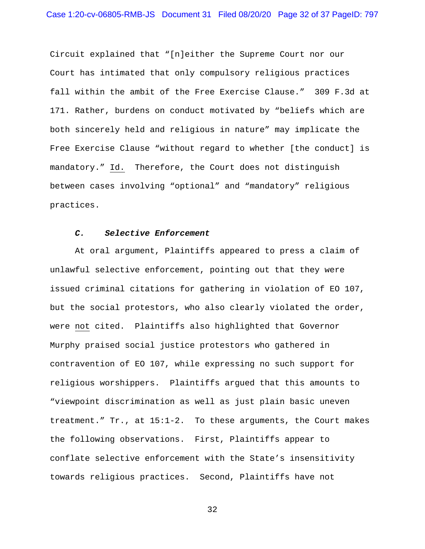Circuit explained that "[n]either the Supreme Court nor our Court has intimated that only compulsory religious practices fall within the ambit of the Free Exercise Clause." 309 F.3d at 171. Rather, burdens on conduct motivated by "beliefs which are both sincerely held and religious in nature" may implicate the Free Exercise Clause "without regard to whether [the conduct] is mandatory." Id. Therefore, the Court does not distinguish between cases involving "optional" and "mandatory" religious practices.

### *C. Selective Enforcement*

At oral argument, Plaintiffs appeared to press a claim of unlawful selective enforcement, pointing out that they were issued criminal citations for gathering in violation of EO 107, but the social protestors, who also clearly violated the order, were not cited. Plaintiffs also highlighted that Governor Murphy praised social justice protestors who gathered in contravention of EO 107, while expressing no such support for religious worshippers. Plaintiffs argued that this amounts to "viewpoint discrimination as well as just plain basic uneven treatment." Tr., at 15:1-2. To these arguments, the Court makes the following observations. First, Plaintiffs appear to conflate selective enforcement with the State's insensitivity towards religious practices. Second, Plaintiffs have not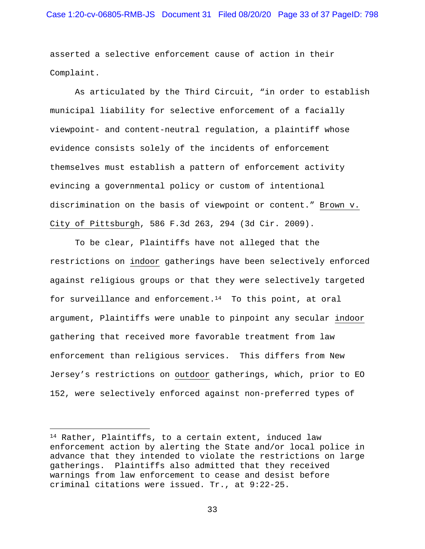asserted a selective enforcement cause of action in their Complaint.

As articulated by the Third Circuit, "in order to establish municipal liability for selective enforcement of a facially viewpoint- and content-neutral regulation, a plaintiff whose evidence consists solely of the incidents of enforcement themselves must establish a pattern of enforcement activity evincing a governmental policy or custom of intentional discrimination on the basis of viewpoint or content." Brown v. City of Pittsburgh, 586 F.3d 263, 294 (3d Cir. 2009).

To be clear, Plaintiffs have not alleged that the restrictions on indoor gatherings have been selectively enforced against religious groups or that they were selectively targeted for surveillance and enforcement.<sup>14</sup> To this point, at oral argument, Plaintiffs were unable to pinpoint any secular indoor gathering that received more favorable treatment from law enforcement than religious services. This differs from New Jersey's restrictions on outdoor gatherings, which, prior to EO 152, were selectively enforced against non-preferred types of

<sup>14</sup> Rather, Plaintiffs, to a certain extent, induced law enforcement action by alerting the State and/or local police in advance that they intended to violate the restrictions on large gatherings. Plaintiffs also admitted that they received warnings from law enforcement to cease and desist before criminal citations were issued. Tr., at 9:22-25.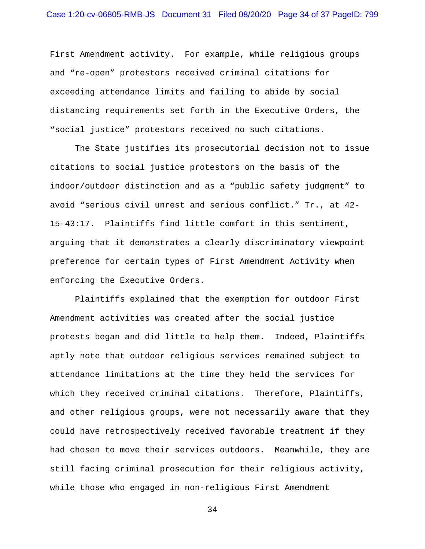First Amendment activity. For example, while religious groups and "re-open" protestors received criminal citations for exceeding attendance limits and failing to abide by social distancing requirements set forth in the Executive Orders, the "social justice" protestors received no such citations.

The State justifies its prosecutorial decision not to issue citations to social justice protestors on the basis of the indoor/outdoor distinction and as a "public safety judgment" to avoid "serious civil unrest and serious conflict." Tr., at 42- 15-43:17. Plaintiffs find little comfort in this sentiment, arguing that it demonstrates a clearly discriminatory viewpoint preference for certain types of First Amendment Activity when enforcing the Executive Orders.

Plaintiffs explained that the exemption for outdoor First Amendment activities was created after the social justice protests began and did little to help them. Indeed, Plaintiffs aptly note that outdoor religious services remained subject to attendance limitations at the time they held the services for which they received criminal citations. Therefore, Plaintiffs, and other religious groups, were not necessarily aware that they could have retrospectively received favorable treatment if they had chosen to move their services outdoors. Meanwhile, they are still facing criminal prosecution for their religious activity, while those who engaged in non-religious First Amendment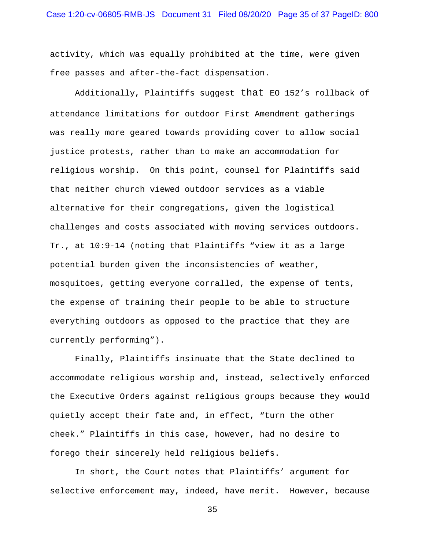activity, which was equally prohibited at the time, were given free passes and after-the-fact dispensation.

Additionally, Plaintiffs suggest that EO 152's rollback of attendance limitations for outdoor First Amendment gatherings was really more geared towards providing cover to allow social justice protests, rather than to make an accommodation for religious worship. On this point, counsel for Plaintiffs said that neither church viewed outdoor services as a viable alternative for their congregations, given the logistical challenges and costs associated with moving services outdoors. Tr., at 10:9-14 (noting that Plaintiffs "view it as a large potential burden given the inconsistencies of weather, mosquitoes, getting everyone corralled, the expense of tents, the expense of training their people to be able to structure everything outdoors as opposed to the practice that they are currently performing").

Finally, Plaintiffs insinuate that the State declined to accommodate religious worship and, instead, selectively enforced the Executive Orders against religious groups because they would quietly accept their fate and, in effect, "turn the other cheek." Plaintiffs in this case, however, had no desire to forego their sincerely held religious beliefs.

In short, the Court notes that Plaintiffs' argument for selective enforcement may, indeed, have merit. However, because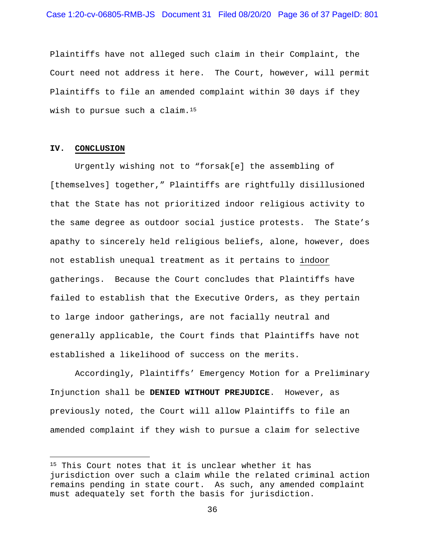Plaintiffs have not alleged such claim in their Complaint, the Court need not address it here. The Court, however, will permit Plaintiffs to file an amended complaint within 30 days if they wish to pursue such a claim.15

#### **IV. CONCLUSION**

Urgently wishing not to "forsak[e] the assembling of [themselves] together," Plaintiffs are rightfully disillusioned that the State has not prioritized indoor religious activity to the same degree as outdoor social justice protests. The State's apathy to sincerely held religious beliefs, alone, however, does not establish unequal treatment as it pertains to indoor gatherings. Because the Court concludes that Plaintiffs have failed to establish that the Executive Orders, as they pertain to large indoor gatherings, are not facially neutral and generally applicable, the Court finds that Plaintiffs have not established a likelihood of success on the merits.

Accordingly, Plaintiffs' Emergency Motion for a Preliminary Injunction shall be **DENIED WITHOUT PREJUDICE**. However, as previously noted, the Court will allow Plaintiffs to file an amended complaint if they wish to pursue a claim for selective

<sup>&</sup>lt;sup>15</sup> This Court notes that it is unclear whether it has jurisdiction over such a claim while the related criminal action remains pending in state court. As such, any amended complaint must adequately set forth the basis for jurisdiction.